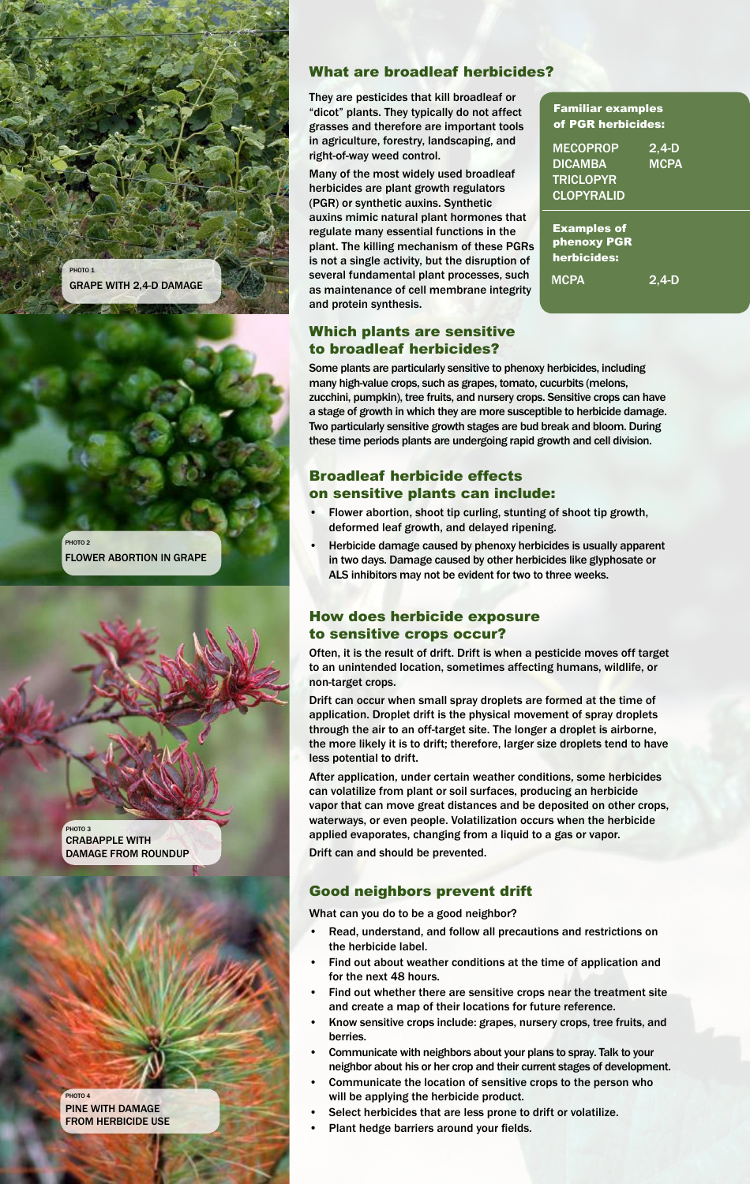

Flower abortion in grape PHOTO<sub>2</sub>

Crabapple with damage from roundup PHOTO<sub>3</sub>

pine with damage from herbicide use PHOTO<sub>4</sub>

#### What are broadleaf herbicides?

They are pesticides that kill broadleaf or "dicot" plants. They typically do not affect grasses and therefore are important tools in agriculture, forestry, landscaping, and right-of-way weed control.

Many of the most widely used broadleaf herbicides are plant growth regulators (PGR) or synthetic auxins. Synthetic auxins mimic natural plant hormones that regulate many essential functions in the plant. The killing mechanism of these PGRs is not a single activity, but the disruption of several fundamental plant processes, such as maintenance of cell membrane integrity and protein synthesis.

# Which plants are sensitive

Familiar examples of PGR herbicides:

**MECOPROP DICAMBA** triclopyr **CLOPYRALID** 2,4-d **MCPA** 

Examples of phenoxy PGR herbicides:

**MCPA** 

 $2.4 - D$ 

# to broadleaf herbicides?

Some plants are particularly sensitive to phenoxy herbicides, including many high-value crops, such as grapes, tomato, cucurbits (melons, zucchini, pumpkin), tree fruits, and nursery crops. Sensitive crops can have a stage of growth in which they are more susceptible to herbicide damage. Two particularly sensitive growth stages are bud break and bloom. During these time periods plants are undergoing rapid growth and cell division.

### Broadleaf herbicide effects on sensitive plants can include:

- Flower abortion, shoot tip curling, stunting of shoot tip growth, deformed leaf growth, and delayed ripening.
- Herbicide damage caused by phenoxy herbicides is usually apparent in two days. Damage caused by other herbicides like glyphosate or ALS inhibitors may not be evident for two to three weeks.

### How does herbicide exposure to sensitive crops occur?

Often, it is the result of drift. Drift is when a pesticide moves off target to an unintended location, sometimes affecting humans, wildlife, or non-target crops.

Drift can occur when small spray droplets are formed at the time of application. Droplet drift is the physical movement of spray droplets through the air to an off-target site. The longer a droplet is airborne, the more likely it is to drift; therefore, larger size droplets tend to have less potential to drift.

After application, under certain weather conditions, some herbicides can volatilize from plant or soil surfaces, producing an herbicide vapor that can move great distances and be deposited on other crops, waterways, or even people. Volatilization occurs when the herbicide applied evaporates, changing from a liquid to a gas or vapor.

Drift can and should be prevented.

## Good neighbors prevent drift

What can you do to be a good neighbor?

- Read, understand, and follow all precautions and restrictions on the herbicide label.
- Find out about weather conditions at the time of application and for the next 48 hours.
- Find out whether there are sensitive crops near the treatment site and create a map of their locations for future reference.
- Know sensitive crops include: grapes, nursery crops, tree fruits, and berries.
- Communicate with neighbors about your plans to spray. Talk to your neighbor about his or her crop and their current stages of development.
- Communicate the location of sensitive crops to the person who will be applying the herbicide product.
- Select herbicides that are less prone to drift or volatilize.
- Plant hedge barriers around your fields.